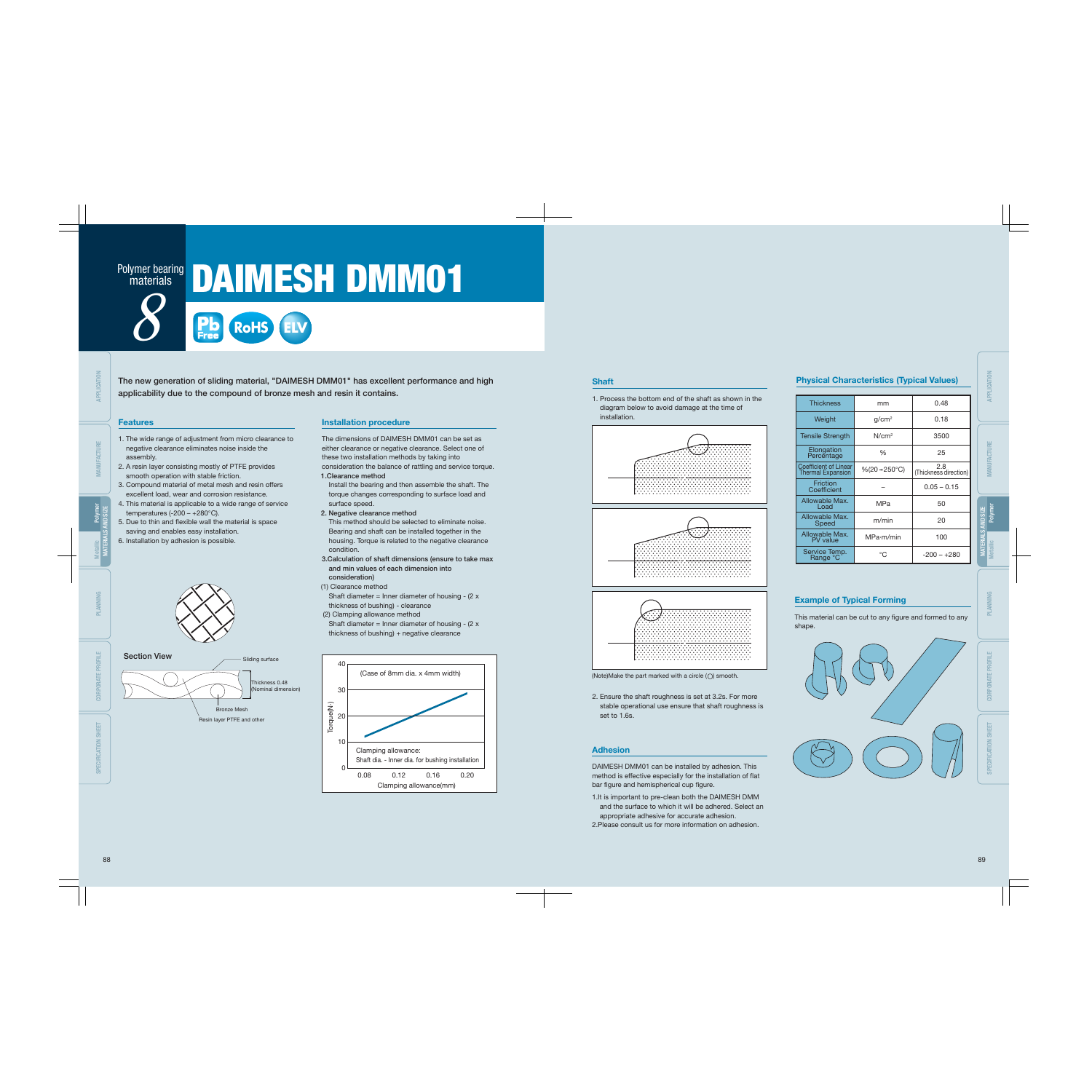### **materials**

# Polymer bearing DAIMESH DMM01

The new generation of sliding material, "DAIMESH DMM01" has excellent performance and high applicability due to the compound of bronze mesh and resin it contains.



This material can be cut to any figure and formed to any shape.



- 1. The wide range of adjustment from micro clearance to negative clearance eliminates noise inside the assembly.
- 2. A resin layer consisting mostly of PTFE provides smooth operation with stable friction.
- 3. Compound material of metal mesh and resin offers excellent load, wear and corrosion resistance.
- 4. This material is applicable to a wide range of service temperatures  $(-200 - +280^{\circ}C)$ .
- 5. Due to thin and flexible wall the material is space saving and enables easy installation.
- 6. Installation by adhesion is possible.



DAIMESH DMM01 can be installed by adhesion. This method is effective especially for the installation of flat bar figure and hemispherical cup figure.

#### Features

#### Example of Typical Forming

1. Process the bottom end of the shaft as shown in the diagram below to avoid damage at the time of installation.







(Note)Make the part marked with a circle  $(\bigcirc)$  smooth.

2. Ensure the shaft roughness is set at 3.2s. For more stable operational use ensure that shaft roughness is set to 1.6s.

#### Shaft

- 1.It is important to pre-clean both the DAIMESH DMM and the surface to which it will be adhered. Select an appropriate adhesive for accurate adhesion.
- 2.Please consult us for more information on adhesion.

#### Adhesion

The dimensions of DAIMESH DMM01 can be set as either clearance or negative clearance. Select one of these two installation methods by taking into consideration the balance of rattling and service torque.

1.Clearance method

Install the bearing and then assemble the shaft. The torque changes corresponding to surface load and surface speed.

- 2. Negative clearance method This method should be selected to eliminate noise. Bearing and shaft can be installed together in the housing. Torque is related to the negative clearance condition.
- 3.Calculation of shaft dimensions (ensure to take max and min values of each dimension into consideration)
- (1) Clearance method Shaft diameter = Inner diameter of housing -  $(2 x)$ thickness of bushing) - clearance (2) Clamping allowance method
- Shaft diameter = Inner diameter of housing  $(2 x)$ thickness of bushing) + negative clearance



#### Installation procedure

| ar Charactoriotico (Typicar Tanaco)               |                   |                              |  |  |  |  |  |  |  |  |  |
|---------------------------------------------------|-------------------|------------------------------|--|--|--|--|--|--|--|--|--|
|                                                   |                   |                              |  |  |  |  |  |  |  |  |  |
| <b>Thickness</b>                                  | mm                | 0.48                         |  |  |  |  |  |  |  |  |  |
| Weight                                            | g/cm <sup>2</sup> | 0.18                         |  |  |  |  |  |  |  |  |  |
| <b>Tensile Strength</b>                           | N/cm <sup>2</sup> | 3500                         |  |  |  |  |  |  |  |  |  |
| Elongation<br>Percentage                          | %                 | 25                           |  |  |  |  |  |  |  |  |  |
| Coefficient of Linear<br><b>Thermal Expansion</b> | %(20→250°C)       | 2.8<br>(Thickness direction) |  |  |  |  |  |  |  |  |  |
| Friction<br>Coefficient                           |                   | $0.05 - 0.15$                |  |  |  |  |  |  |  |  |  |
| Allowable Max.<br>Load                            | MPa               | 50                           |  |  |  |  |  |  |  |  |  |
| Allowable Max.<br>Speed                           | m/min             | 20                           |  |  |  |  |  |  |  |  |  |
| Allowable Max.<br>PV value                        | MPa·m/min         | 100                          |  |  |  |  |  |  |  |  |  |
| Service Temp.<br>Range °C                         | °C                | $-200 - +280$                |  |  |  |  |  |  |  |  |  |

#### **Physical Characteristics (Typical Values)**



APPLICATION

CORPORATE PROFILE SPECIFICATION SHEET

MANUFACTURE PLANNING MATERIALS AND SIZE Polymer Metallic

PLANNING

CORPORATE PROFILE

SPECIFICATION SHEET

MATERIALS AND SIZE

Polymer

Metallic